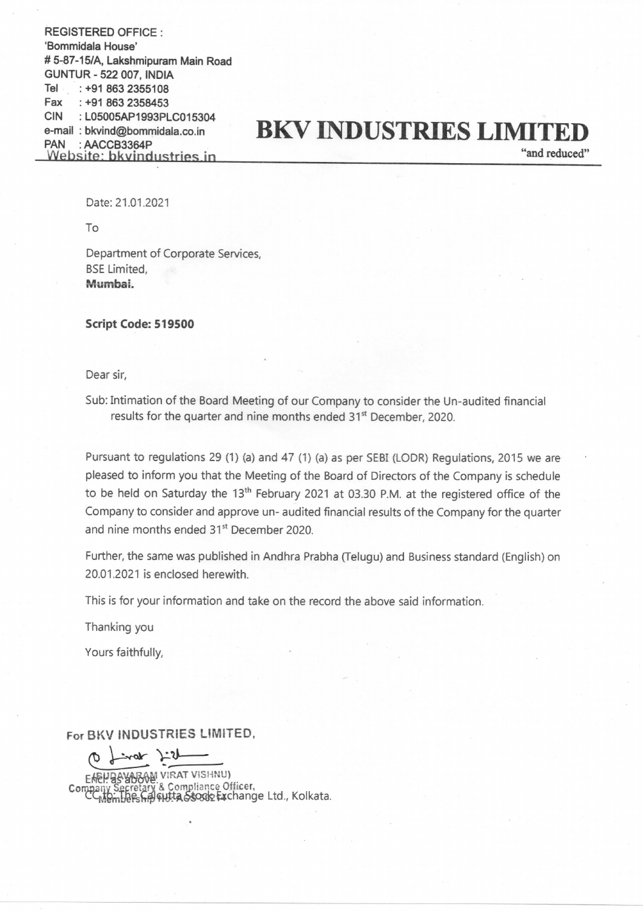REGISTERED OFFICE : 'Bommidala House' # 5-87-15/A, Lakshmipuram Main Road GUNTUR- 522 007, INDIA Tel : +91 863 2355108 Fax : +918632358453 CIN : L05005AP1993PLC015304 e-mail : bkvind@bommidala.co.in PAN : AACCB3364P Website: bkvindustries in

## BKV INDUSTRIES LIMITE

"and reduced"

Date: 21.01.2021

To

Department of Corporate Services, BSE Limited, Mumbai.

Script Code: 519500

Dear sir,

Sub: Intimation of the Board Meeting of our Company to consider the Un-audited financial results for the quarter and nine months ended 31<sup>st</sup> December, 2020.

Pursuant to regulations <sup>29</sup> (1) (a) and <sup>47</sup> (1) (a) as per SEBI (LODR) Regulations, <sup>2015</sup> we are pleased to inform you that the Meeting of the Board of Directors of the Company is schedule to be held on Saturday the 13<sup>th</sup> February 2021 at 03.30 P.M. at the registered office of the Company to consider and approve un- audited financial results of the Company for the quarter and nine months ended 31st December 2020.

Further, the same was published in Andhra Prabha (Telugu) and Business standard (English) on 20.01.2021 is enclosed herewith.

This is for your information and take on the record the above said information.

Thanking you

Yours faithfully,

For BKV INDUSTRIES LIMITED,

 $0$  final  $2+1$ 

AM VIRAT VISHNU) Company Secretary & Compliance Officer,<br>Company Secretary & Compliance Officer,<br>C<sub>Membersh</sub>artitle Soogle Exchange Ltd., Kolkat